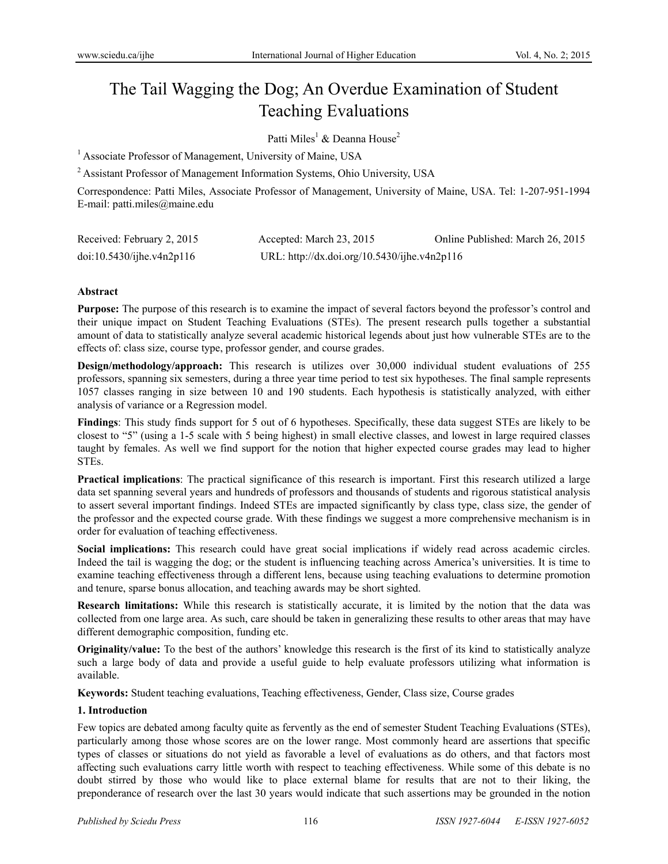# The Tail Wagging the Dog; An Overdue Examination of Student Teaching Evaluations

Patti Miles<sup>1</sup> & Deanna House<sup>2</sup>

<sup>1</sup> Associate Professor of Management, University of Maine, USA

<sup>2</sup> Assistant Professor of Management Information Systems, Ohio University, USA

Correspondence: Patti Miles, Associate Professor of Management, University of Maine, USA. Tel: 1-207-951-1994 E-mail: patti.miles@maine.edu

| Received: February 2, 2015 | Accepted: March 23, 2015                     | Online Published: March 26, 2015 |
|----------------------------|----------------------------------------------|----------------------------------|
| doi:10.5430/ijhe.v4n2p116  | URL: http://dx.doi.org/10.5430/ijhe.v4n2p116 |                                  |

#### **Abstract**

**Purpose:** The purpose of this research is to examine the impact of several factors beyond the professor's control and their unique impact on Student Teaching Evaluations (STEs). The present research pulls together a substantial amount of data to statistically analyze several academic historical legends about just how vulnerable STEs are to the effects of: class size, course type, professor gender, and course grades.

**Design/methodology/approach:** This research is utilizes over 30,000 individual student evaluations of 255 professors, spanning six semesters, during a three year time period to test six hypotheses. The final sample represents 1057 classes ranging in size between 10 and 190 students. Each hypothesis is statistically analyzed, with either analysis of variance or a Regression model.

**Findings**: This study finds support for 5 out of 6 hypotheses. Specifically, these data suggest STEs are likely to be closest to "5" (using a 1-5 scale with 5 being highest) in small elective classes, and lowest in large required classes taught by females. As well we find support for the notion that higher expected course grades may lead to higher STEs.

**Practical implications**: The practical significance of this research is important. First this research utilized a large data set spanning several years and hundreds of professors and thousands of students and rigorous statistical analysis to assert several important findings. Indeed STEs are impacted significantly by class type, class size, the gender of the professor and the expected course grade. With these findings we suggest a more comprehensive mechanism is in order for evaluation of teaching effectiveness.

**Social implications:** This research could have great social implications if widely read across academic circles. Indeed the tail is wagging the dog; or the student is influencing teaching across America's universities. It is time to examine teaching effectiveness through a different lens, because using teaching evaluations to determine promotion and tenure, sparse bonus allocation, and teaching awards may be short sighted.

**Research limitations:** While this research is statistically accurate, it is limited by the notion that the data was collected from one large area. As such, care should be taken in generalizing these results to other areas that may have different demographic composition, funding etc.

**Originality/value:** To the best of the authors' knowledge this research is the first of its kind to statistically analyze such a large body of data and provide a useful guide to help evaluate professors utilizing what information is available.

**Keywords:** Student teaching evaluations, Teaching effectiveness, Gender, Class size, Course grades

### **1. Introduction**

Few topics are debated among faculty quite as fervently as the end of semester Student Teaching Evaluations (STEs), particularly among those whose scores are on the lower range. Most commonly heard are assertions that specific types of classes or situations do not yield as favorable a level of evaluations as do others, and that factors most affecting such evaluations carry little worth with respect to teaching effectiveness. While some of this debate is no doubt stirred by those who would like to place external blame for results that are not to their liking, the preponderance of research over the last 30 years would indicate that such assertions may be grounded in the notion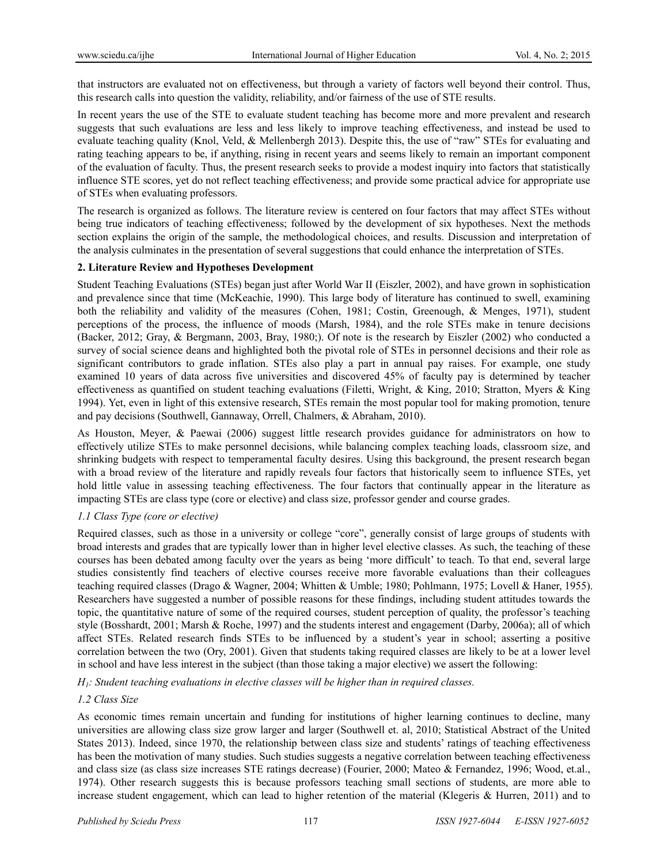that instructors are evaluated not on effectiveness, but through a variety of factors well beyond their control. Thus, this research calls into question the validity, reliability, and/or fairness of the use of STE results.

In recent years the use of the STE to evaluate student teaching has become more and more prevalent and research suggests that such evaluations are less and less likely to improve teaching effectiveness, and instead be used to evaluate teaching quality (Knol, Veld, & Mellenbergh 2013). Despite this, the use of "raw" STEs for evaluating and rating teaching appears to be, if anything, rising in recent years and seems likely to remain an important component of the evaluation of faculty. Thus, the present research seeks to provide a modest inquiry into factors that statistically influence STE scores, yet do not reflect teaching effectiveness; and provide some practical advice for appropriate use of STEs when evaluating professors.

The research is organized as follows. The literature review is centered on four factors that may affect STEs without being true indicators of teaching effectiveness; followed by the development of six hypotheses. Next the methods section explains the origin of the sample, the methodological choices, and results. Discussion and interpretation of the analysis culminates in the presentation of several suggestions that could enhance the interpretation of STEs.

## **2. Literature Review and Hypotheses Development**

Student Teaching Evaluations (STEs) began just after World War II (Eiszler, 2002), and have grown in sophistication and prevalence since that time (McKeachie, 1990). This large body of literature has continued to swell, examining both the reliability and validity of the measures (Cohen, 1981; Costin, Greenough, & Menges, 1971), student perceptions of the process, the influence of moods (Marsh, 1984), and the role STEs make in tenure decisions (Backer, 2012; Gray, & Bergmann, 2003, Bray, 1980;). Of note is the research by Eiszler (2002) who conducted a survey of social science deans and highlighted both the pivotal role of STEs in personnel decisions and their role as significant contributors to grade inflation. STEs also play a part in annual pay raises. For example, one study examined 10 years of data across five universities and discovered 45% of faculty pay is determined by teacher effectiveness as quantified on student teaching evaluations (Filetti, Wright, & King, 2010; Stratton, Myers & King 1994). Yet, even in light of this extensive research, STEs remain the most popular tool for making promotion, tenure and pay decisions (Southwell, Gannaway, Orrell, Chalmers, & Abraham, 2010).

As Houston, Meyer, & Paewai (2006) suggest little research provides guidance for administrators on how to effectively utilize STEs to make personnel decisions, while balancing complex teaching loads, classroom size, and shrinking budgets with respect to temperamental faculty desires. Using this background, the present research began with a broad review of the literature and rapidly reveals four factors that historically seem to influence STEs, yet hold little value in assessing teaching effectiveness. The four factors that continually appear in the literature as impacting STEs are class type (core or elective) and class size, professor gender and course grades.

### *1.1 Class Type (core or elective)*

Required classes, such as those in a university or college "core", generally consist of large groups of students with broad interests and grades that are typically lower than in higher level elective classes. As such, the teaching of these courses has been debated among faculty over the years as being 'more difficult' to teach. To that end, several large studies consistently find teachers of elective courses receive more favorable evaluations than their colleagues teaching required classes (Drago & Wagner, 2004; Whitten & Umble; 1980; Pohlmann, 1975; Lovell & Haner, 1955). Researchers have suggested a number of possible reasons for these findings, including student attitudes towards the topic, the quantitative nature of some of the required courses, student perception of quality, the professor's teaching style (Bosshardt, 2001; Marsh & Roche, 1997) and the students interest and engagement (Darby, 2006a); all of which affect STEs. Related research finds STEs to be influenced by a student's year in school; asserting a positive correlation between the two (Ory, 2001). Given that students taking required classes are likely to be at a lower level in school and have less interest in the subject (than those taking a major elective) we assert the following:

*H1: Student teaching evaluations in elective classes will be higher than in required classes.*

# *1.2 Class Size*

As economic times remain uncertain and funding for institutions of higher learning continues to decline, many universities are allowing class size grow larger and larger (Southwell et. al, 2010; Statistical Abstract of the United States 2013). Indeed, since 1970, the relationship between class size and students' ratings of teaching effectiveness has been the motivation of many studies. Such studies suggests a negative correlation between teaching effectiveness and class size (as class size increases STE ratings decrease) (Fourier, 2000; Mateo & Fernandez, 1996; Wood, et.al., 1974). Other research suggests this is because professors teaching small sections of students, are more able to increase student engagement, which can lead to higher retention of the material (Klegeris & Hurren, 2011) and to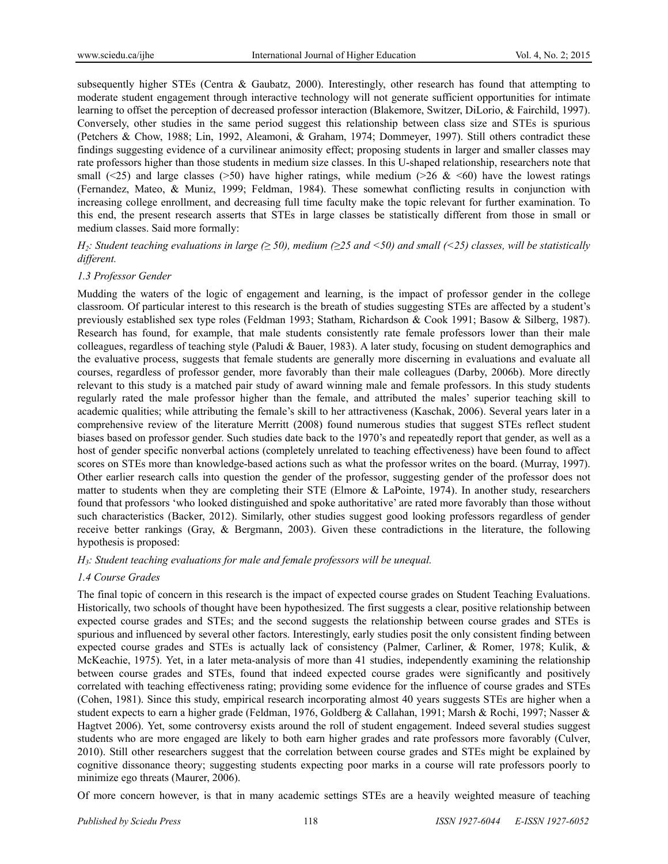subsequently higher STEs (Centra & Gaubatz, 2000). Interestingly, other research has found that attempting to moderate student engagement through interactive technology will not generate sufficient opportunities for intimate learning to offset the perception of decreased professor interaction (Blakemore, Switzer, DiLorio, & Fairchild, 1997). Conversely, other studies in the same period suggest this relationship between class size and STEs is spurious (Petchers & Chow, 1988; Lin, 1992, Aleamoni, & Graham, 1974; Dommeyer, 1997). Still others contradict these findings suggesting evidence of a curvilinear animosity effect; proposing students in larger and smaller classes may rate professors higher than those students in medium size classes. In this U-shaped relationship, researchers note that small (<25) and large classes (>50) have higher ratings, while medium (>26 & <60) have the lowest ratings (Fernandez, Mateo, & Muniz, 1999; Feldman, 1984). These somewhat conflicting results in conjunction with increasing college enrollment, and decreasing full time faculty make the topic relevant for further examination. To this end, the present research asserts that STEs in large classes be statistically different from those in small or medium classes. Said more formally:

*H2: Student teaching evaluations in large (≥ 50), medium (≥25 and <50) and small (<25) classes, will be statistically different.*

### *1.3 Professor Gender*

Mudding the waters of the logic of engagement and learning, is the impact of professor gender in the college classroom. Of particular interest to this research is the breath of studies suggesting STEs are affected by a student's previously established sex type roles (Feldman 1993; Statham, Richardson & Cook 1991; Basow & Silberg, 1987). Research has found, for example, that male students consistently rate female professors lower than their male colleagues, regardless of teaching style (Paludi & Bauer, 1983). A later study, focusing on student demographics and the evaluative process, suggests that female students are generally more discerning in evaluations and evaluate all courses, regardless of professor gender, more favorably than their male colleagues (Darby, 2006b). More directly relevant to this study is a matched pair study of award winning male and female professors. In this study students regularly rated the male professor higher than the female, and attributed the males' superior teaching skill to academic qualities; while attributing the female's skill to her attractiveness (Kaschak, 2006). Several years later in a comprehensive review of the literature Merritt (2008) found numerous studies that suggest STEs reflect student biases based on professor gender. Such studies date back to the 1970's and repeatedly report that gender, as well as a host of gender specific nonverbal actions (completely unrelated to teaching effectiveness) have been found to affect scores on STEs more than knowledge-based actions such as what the professor writes on the board. (Murray, 1997). Other earlier research calls into question the gender of the professor, suggesting gender of the professor does not matter to students when they are completing their STE (Elmore & LaPointe, 1974). In another study, researchers found that professors 'who looked distinguished and spoke authoritative' are rated more favorably than those without such characteristics (Backer, 2012). Similarly, other studies suggest good looking professors regardless of gender receive better rankings (Gray, & Bergmann, 2003). Given these contradictions in the literature, the following hypothesis is proposed:

#### *H3: Student teaching evaluations for male and female professors will be unequal.*

### *1.4 Course Grades*

The final topic of concern in this research is the impact of expected course grades on Student Teaching Evaluations. Historically, two schools of thought have been hypothesized. The first suggests a clear, positive relationship between expected course grades and STEs; and the second suggests the relationship between course grades and STEs is spurious and influenced by several other factors. Interestingly, early studies posit the only consistent finding between expected course grades and STEs is actually lack of consistency (Palmer, Carliner, & Romer, 1978; Kulik, & McKeachie, 1975). Yet, in a later meta-analysis of more than 41 studies, independently examining the relationship between course grades and STEs, found that indeed expected course grades were significantly and positively correlated with teaching effectiveness rating; providing some evidence for the influence of course grades and STEs (Cohen, 1981). Since this study, empirical research incorporating almost 40 years suggests STEs are higher when a student expects to earn a higher grade (Feldman, 1976, Goldberg & Callahan, 1991; Marsh & Rochi, 1997; Nasser & Hagtvet 2006). Yet, some controversy exists around the roll of student engagement. Indeed several studies suggest students who are more engaged are likely to both earn higher grades and rate professors more favorably (Culver, 2010). Still other researchers suggest that the correlation between course grades and STEs might be explained by cognitive dissonance theory; suggesting students expecting poor marks in a course will rate professors poorly to minimize ego threats (Maurer, 2006).

Of more concern however, is that in many academic settings STEs are a heavily weighted measure of teaching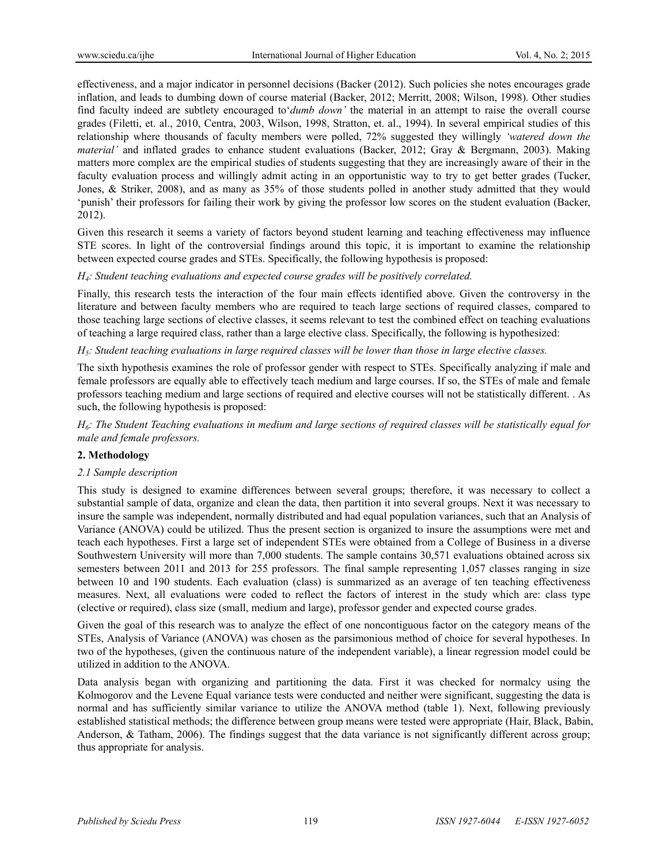effectiveness, and a major indicator in personnel decisions (Backer (2012). Such policies she notes encourages grade inflation, and leads to dumbing down of course material (Backer, 2012; Merritt, 2008; Wilson, 1998). Other studies find faculty indeed are subtlety encouraged to'*dumb down'* the material in an attempt to raise the overall course grades (Filetti, et. al., 2010, Centra, 2003, Wilson, 1998, Stratton, et. al., 1994). In several empirical studies of this relationship where thousands of faculty members were polled, 72% suggested they willingly *'watered down the material'* and inflated grades to enhance student evaluations (Backer, 2012; Gray & Bergmann, 2003). Making matters more complex are the empirical studies of students suggesting that they are increasingly aware of their in the faculty evaluation process and willingly admit acting in an opportunistic way to try to get better grades (Tucker, Jones, & Striker, 2008), and as many as 35% of those students polled in another study admitted that they would 'punish' their professors for failing their work by giving the professor low scores on the student evaluation (Backer, 2012).

Given this research it seems a variety of factors beyond student learning and teaching effectiveness may influence STE scores. In light of the controversial findings around this topic, it is important to examine the relationship between expected course grades and STEs. Specifically, the following hypothesis is proposed:

### *H4: Student teaching evaluations and expected course grades will be positively correlated.*

Finally, this research tests the interaction of the four main effects identified above. Given the controversy in the literature and between faculty members who are required to teach large sections of required classes, compared to those teaching large sections of elective classes, it seems relevant to test the combined effect on teaching evaluations of teaching a large required class, rather than a large elective class. Specifically, the following is hypothesized:

*H5: Student teaching evaluations in large required classes will be lower than those in large elective classes.* 

The sixth hypothesis examines the role of professor gender with respect to STEs. Specifically analyzing if male and female professors are equally able to effectively teach medium and large courses. If so, the STEs of male and female professors teaching medium and large sections of required and elective courses will not be statistically different. . As such, the following hypothesis is proposed:

*H6: The Student Teaching evaluations in medium and large sections of required classes will be statistically equal for male and female professors.* 

## **2. Methodology**

#### *2.1 Sample description*

This study is designed to examine differences between several groups; therefore, it was necessary to collect a substantial sample of data, organize and clean the data, then partition it into several groups. Next it was necessary to insure the sample was independent, normally distributed and had equal population variances, such that an Analysis of Variance (ANOVA) could be utilized. Thus the present section is organized to insure the assumptions were met and teach each hypotheses. First a large set of independent STEs were obtained from a College of Business in a diverse Southwestern University will more than 7,000 students. The sample contains 30,571 evaluations obtained across six semesters between 2011 and 2013 for 255 professors. The final sample representing 1,057 classes ranging in size between 10 and 190 students. Each evaluation (class) is summarized as an average of ten teaching effectiveness measures. Next, all evaluations were coded to reflect the factors of interest in the study which are: class type (elective or required), class size (small, medium and large), professor gender and expected course grades.

Given the goal of this research was to analyze the effect of one noncontiguous factor on the category means of the STEs, Analysis of Variance (ANOVA) was chosen as the parsimonious method of choice for several hypotheses. In two of the hypotheses, (given the continuous nature of the independent variable), a linear regression model could be utilized in addition to the ANOVA.

Data analysis began with organizing and partitioning the data. First it was checked for normalcy using the Kolmogorov and the Levene Equal variance tests were conducted and neither were significant, suggesting the data is normal and has sufficiently similar variance to utilize the ANOVA method (table 1). Next, following previously established statistical methods; the difference between group means were tested were appropriate (Hair, Black, Babin, Anderson, & Tatham, 2006). The findings suggest that the data variance is not significantly different across group; thus appropriate for analysis.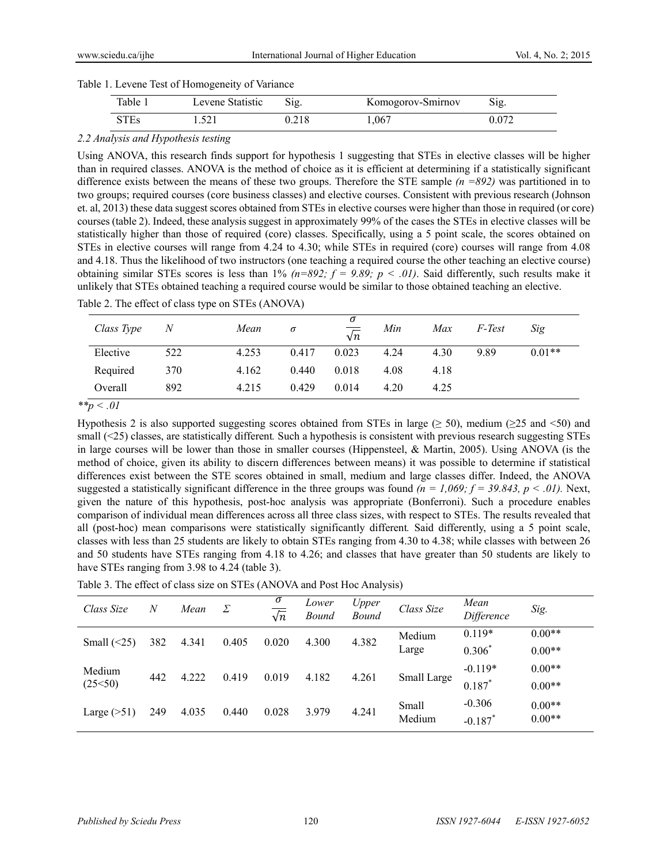| Table 1. Levene Test of Homogeneity of Variance |  |
|-------------------------------------------------|--|
|-------------------------------------------------|--|

| Table 1 | Levene Statistic | $\mathrm{Sig.}$ | Komogorov-Smirnov | $\mathcal{S}$ 1g. |
|---------|------------------|-----------------|-------------------|-------------------|
| STEs    |                  |                 | .067              |                   |

# *2.2 Analysis and Hypothesis testing*

Using ANOVA, this research finds support for hypothesis 1 suggesting that STEs in elective classes will be higher than in required classes. ANOVA is the method of choice as it is efficient at determining if a statistically significant difference exists between the means of these two groups. Therefore the STE sample *(n =892)* was partitioned in to two groups; required courses (core business classes) and elective courses. Consistent with previous research (Johnson et. al, 2013) these data suggest scores obtained from STEs in elective courses were higher than those in required (or core) courses (table 2). Indeed, these analysis suggest in approximately 99% of the cases the STEs in elective classes will be statistically higher than those of required (core) classes. Specifically, using a 5 point scale, the scores obtained on STEs in elective courses will range from 4.24 to 4.30; while STEs in required (core) courses will range from 4.08 and 4.18. Thus the likelihood of two instructors (one teaching a required course the other teaching an elective course) obtaining similar STEs scores is less than 1%  $(n=892; f = 9.89; p < .01)$ . Said differently, such results make it unlikely that STEs obtained teaching a required course would be similar to those obtained teaching an elective.

| Class Type | N   | Mean  | $\sigma$ | $\sigma$<br>$\sqrt{n}$ | Min  | Max  | F-Test | Sig      |
|------------|-----|-------|----------|------------------------|------|------|--------|----------|
| Elective   | 522 | 4.253 | 0.417    | 0.023                  | 4.24 | 4.30 | 9.89   | $0.01**$ |
| Required   | 370 | 4.162 | 0.440    | 0.018                  | 4.08 | 4.18 |        |          |
| Overall    | 892 | 4.215 | 0.429    | 0.014                  | 4.20 | 4.25 |        |          |

Table 2. The effect of class type on STEs (ANOVA)

*\*\*p < .01*

Hypothesis 2 is also supported suggesting scores obtained from STEs in large ( $\geq$  50), medium ( $\geq$ 25 and <50) and small (<25) classes, are statistically different. Such a hypothesis is consistent with previous research suggesting STEs in large courses will be lower than those in smaller courses (Hippensteel, & Martin, 2005). Using ANOVA (is the method of choice, given its ability to discern differences between means) it was possible to determine if statistical differences exist between the STE scores obtained in small, medium and large classes differ. Indeed, the ANOVA suggested a statistically significant difference in the three groups was found  $(n = 1,069; f = 39.843, p < .01)$ . Next, given the nature of this hypothesis, post-hoc analysis was appropriate (Bonferroni). Such a procedure enables comparison of individual mean differences across all three class sizes, with respect to STEs. The results revealed that all (post-hoc) mean comparisons were statistically significantly different*.* Said differently, using a 5 point scale, classes with less than 25 students are likely to obtain STEs ranging from 4.30 to 4.38; while classes with between 26 and 50 students have STEs ranging from 4.18 to 4.26; and classes that have greater than 50 students are likely to have STEs ranging from 3.98 to 4.24 (table 3).

| Table 3. The effect of class size on STEs (ANOVA and Post Hoc Analysis) |  |
|-------------------------------------------------------------------------|--|
|-------------------------------------------------------------------------|--|

| Class Size        | $\overline{N}$ | Mean  | Σ     | σ<br>$\sqrt{n}$ | Lower<br><b>Bound</b> | Upper<br><b>Bound</b> | Class Size      | Mean<br>Difference     | Sig.                 |
|-------------------|----------------|-------|-------|-----------------|-----------------------|-----------------------|-----------------|------------------------|----------------------|
| Small $(\leq 25)$ | 382            | 4.341 | 0.405 | 0.020           | 4.300                 | 4.382                 | Medium<br>Large | $0.119*$<br>$0.306*$   | $0.00**$<br>$0.00**$ |
| Medium<br>(25<50) | 442            | 4.222 | 0.419 | 0.019           | 4.182                 | 4.261                 | Small Large     | $-0.119*$<br>$0.187*$  | $0.00**$<br>$0.00**$ |
| Large $($ >51)    | 249            | 4.035 | 0.440 | 0.028           | 3.979                 | 4.241                 | Small<br>Medium | $-0.306$<br>$-0.187$ * | $0.00**$<br>$0.00**$ |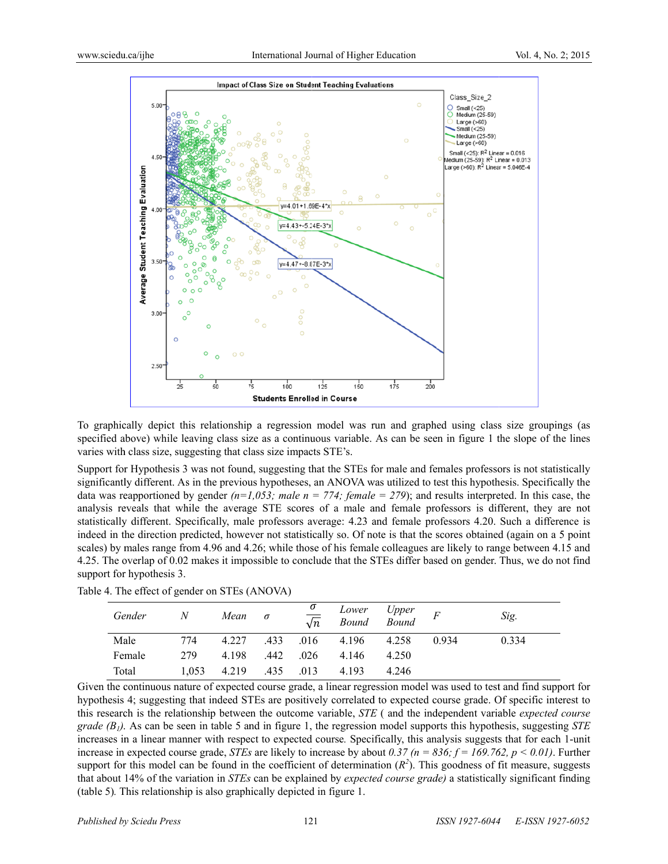

To graphically depict this relationship a regression model was run and graphed using class size groupings (as specified above) while leaving class size as a continuous variable. As can be seen in figure 1 the slope of the lines varies with class size, suggesting that class size impacts STE's.

Support for Hypothesis 3 was not found, suggesting that the STEs for male and females professors is not statistically significantly different. As in the previous hypotheses, an ANOVA was utilized to test this hypothesis. Specifically the data was reapportioned by gender  $(n=1,053;$  male  $n = 774$ ; female  $= 279$ ); and results interpreted. In this case, the analysis reveals that while the average STE scores of a male and female professors is different, they are not statistically different. Specifically, male professors average: 4.23 and female professors 4.20. Such a difference is indeed in the direction predicted, however not statistically so. Of note is that the scores obtained (again on a 5 point scales) by males range from 4.96 and 4.26; while those of his female colleagues are likely to range between 4.15 and 4.25. The overlap of 0.02 makes it impossible to conclude that the STEs differ based on gender. Thus, we do not find support for hypothesis 3.

| Gender | N     | Mean  | $\sigma$ | $\frac{\sigma}{\sqrt{n}}$ | Lower Upper<br>Bound Bound |       |       | Sig.  |
|--------|-------|-------|----------|---------------------------|----------------------------|-------|-------|-------|
| Male   | 774   | 4.227 | .433     |                           | $.016$ 4.196               | 4.258 | 0.934 | 0.334 |
| Female | 279   | 4.198 | .442     | .026                      | 4.146                      | 4.250 |       |       |
| Total  | 1,053 | 4.219 | .435     | .013                      | 4.193                      | 4.246 |       |       |

Table 4. The effect of gender on STEs (ANOVA)

Given the continuous nature of expected course grade, a linear regression model was used to test and find support for hypothesis 4; suggesting that indeed STEs are positively correlated to expected course grade. Of specific interest to this research is the relationship between the outcome variable, *STE* (and the independent variable *expected course grade* (*B<sub>1</sub>*). As can be seen in table 5 and in figure 1, the regression model supports this hypothesis, suggesting *STE* increases in a linear manner with respect to expected course. Specifically, this analysis suggests that for each 1-unit increase in expected course grade, *STEs* are likely to increase by about 0.37 ( $n = 836$ ;  $f = 169.762$ ,  $p < 0.01$ ). Further support for this model can be found in the coefficient of determination  $(R^2)$ . This goodness of fit measure, suggests that about 14% of the variation in *STEs* can be explained by *expected course grade*) a statistically significant finding (table 5). This relationship is also graphically depicted in figure 1.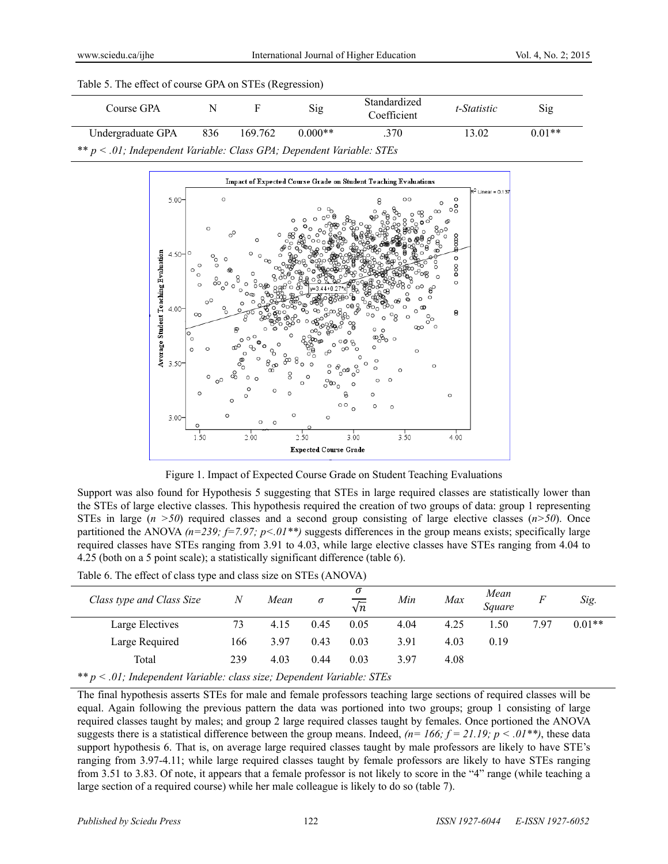|  |  | Table 5. The effect of course GPA on STEs (Regression) |
|--|--|--------------------------------------------------------|
|  |  |                                                        |

| Course GPA        | N                                                                        |         | Sig       | Standardized<br>Coefficient | t-Statistic | Sig      |  |  |  |  |
|-------------------|--------------------------------------------------------------------------|---------|-----------|-----------------------------|-------------|----------|--|--|--|--|
| Undergraduate GPA | 836                                                                      | 169.762 | $0.000**$ | .370                        | 13.02       | $0.01**$ |  |  |  |  |
|                   | ** $p < .01$ ; Independent Variable: Class GPA; Dependent Variable: STEs |         |           |                             |             |          |  |  |  |  |



Figure 1. Impact of Expected Course Grade on Student Teaching Evaluations

Support was also found for Hypothesis 5 suggesting that STEs in large required classes are statistically lower than the STEs of large elective classes. This hypothesis required the creation of two groups of data: group 1 representing STEs in large  $(n > 50)$  required classes and a second group consisting of large elective classes  $(n > 50)$ . Once partitioned the ANOVA  $(n=239; f=7.97; p<01**)$  suggests differences in the group means exists; specifically large required classes have STEs ranging from 3.91 to 4.03, while large elective classes have STEs ranging from 4.04 to 4.25 (both on a 5 point scale); a statistically significant difference (table 6).

Table 6. The effect of class type and class size on STEs (ANOVA)

| Class type and Class Size | N   | Mean | σ    | σ<br>$\sqrt{n}$ | Min  | Max  | Mean<br>Square | F    | Sig.     |
|---------------------------|-----|------|------|-----------------|------|------|----------------|------|----------|
| Large Electives           | 73  | 4.15 | 0.45 | 0.05            | 4.04 | 4.25 | .50            | 7.97 | $0.01**$ |
| Large Required            | 166 | 3.97 | 0.43 | 0.03            | 3.91 | 4.03 | 0.19           |      |          |
| Total                     | 239 | 4.03 | 0.44 | 0.03            | 3.97 | 4.08 |                |      |          |

*\*\* p < .01; Independent Variable: class size; Dependent Variable: STEs* 

The final hypothesis asserts STEs for male and female professors teaching large sections of required classes will be equal. Again following the previous pattern the data was portioned into two groups; group 1 consisting of large required classes taught by males; and group 2 large required classes taught by females. Once portioned the ANOVA suggests there is a statistical difference between the group means. Indeed,  $(n=166; f=21.19; p < .01**)$ , these data support hypothesis 6. That is, on average large required classes taught by male professors are likely to have STE's ranging from 3.97-4.11; while large required classes taught by female professors are likely to have STEs ranging from 3.51 to 3.83. Of note, it appears that a female professor is not likely to score in the "4" range (while teaching a large section of a required course) while her male colleague is likely to do so (table 7).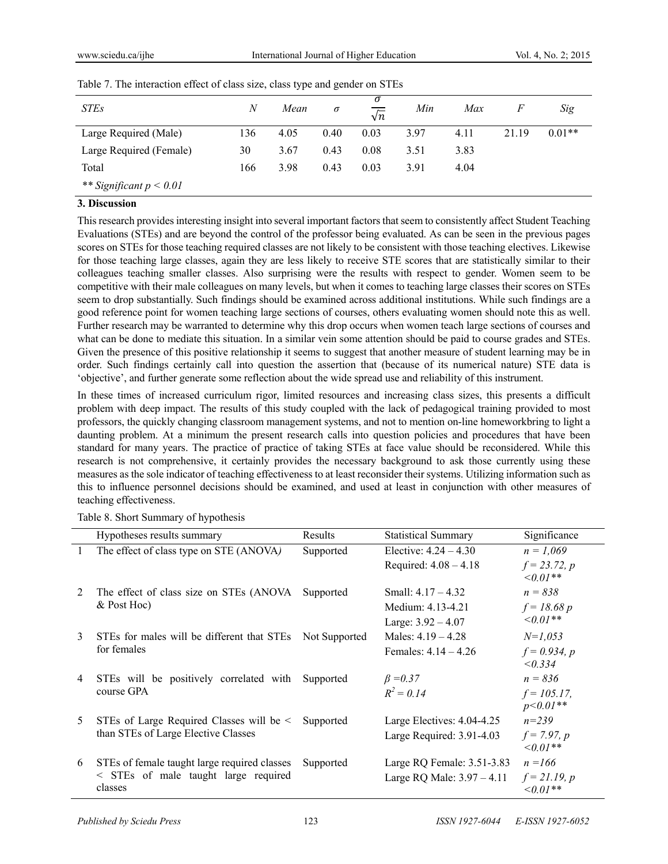| <b>STEs</b>               | N   | Mean | σ    | σ<br>$\sqrt{n}$ | Min  | Max  | F     | Sig      |
|---------------------------|-----|------|------|-----------------|------|------|-------|----------|
| Large Required (Male)     | 136 | 4.05 | 0.40 | 0.03            | 3.97 | 4.11 | 21.19 | $0.01**$ |
| Large Required (Female)   | 30  | 3.67 | 0.43 | 0.08            | 3.51 | 3.83 |       |          |
| Total                     | 166 | 3.98 | 0.43 | 0.03            | 3.91 | 4.04 |       |          |
| ** Significant $p < 0.01$ |     |      |      |                 |      |      |       |          |

Table 7. The interaction effect of class size, class type and gender on STEs

#### **3. Discussion**

This research provides interesting insight into several important factors that seem to consistently affect Student Teaching Evaluations (STEs) and are beyond the control of the professor being evaluated. As can be seen in the previous pages scores on STEs for those teaching required classes are not likely to be consistent with those teaching electives. Likewise for those teaching large classes, again they are less likely to receive STE scores that are statistically similar to their colleagues teaching smaller classes. Also surprising were the results with respect to gender. Women seem to be competitive with their male colleagues on many levels, but when it comes to teaching large classes their scores on STEs seem to drop substantially. Such findings should be examined across additional institutions. While such findings are a good reference point for women teaching large sections of courses, others evaluating women should note this as well. Further research may be warranted to determine why this drop occurs when women teach large sections of courses and what can be done to mediate this situation. In a similar vein some attention should be paid to course grades and STEs. Given the presence of this positive relationship it seems to suggest that another measure of student learning may be in order. Such findings certainly call into question the assertion that (because of its numerical nature) STE data is 'objective', and further generate some reflection about the wide spread use and reliability of this instrument.

In these times of increased curriculum rigor, limited resources and increasing class sizes, this presents a difficult problem with deep impact. The results of this study coupled with the lack of pedagogical training provided to most professors, the quickly changing classroom management systems, and not to mention on-line homeworkbring to light a daunting problem. At a minimum the present research calls into question policies and procedures that have been standard for many years. The practice of practice of taking STEs at face value should be reconsidered. While this research is not comprehensive, it certainly provides the necessary background to ask those currently using these measures as the sole indicator of teaching effectiveness to at least reconsider their systems. Utilizing information such as this to influence personnel decisions should be examined, and used at least in conjunction with other measures of teaching effectiveness.

|              | Hypotheses results summary                      | Results       | <b>Statistical Summary</b>   | Significance                     |
|--------------|-------------------------------------------------|---------------|------------------------------|----------------------------------|
| $\mathbf{1}$ | The effect of class type on STE (ANOVA)         | Supported     | Elective: $4.24 - 4.30$      | $n = 1,069$                      |
|              |                                                 |               | Required: $4.08 - 4.18$      | $f = 23.72, p$<br>$\leq 0.01$ ** |
| 2            | The effect of class size on STEs (ANOVA)        | Supported     | Small: $4.17 - 4.32$         | $n = 838$                        |
|              | & Post Hoc)                                     |               | Medium: 4.13-4.21            | $f = 18.68 p$                    |
|              |                                                 |               | Large: $3.92 - 4.07$         | $\leq 0.01**$                    |
| 3            | STEs for males will be different that STEs      | Not Supported | Males: $4.19 - 4.28$         | $N=1,053$                        |
|              | for females                                     |               | Females: $4.14 - 4.26$       | $f = 0.934, p$<br>< 0.334        |
| 4            | STEs will be positively correlated with         | Supported     | $\beta = 0.37$               | $n = 836$                        |
|              | course GPA                                      |               | $R^2 = 0.14$                 | $f = 105.17$ ,<br>$p<0.01**$     |
| 5            | STEs of Large Required Classes will be $\leq$   | Supported     | Large Electives: 4.04-4.25   | $n = 239$                        |
|              | than STEs of Large Elective Classes             |               | Large Required: 3.91-4.03    | $f = 7.97, p$<br>$\leq 0.01**$   |
| 6            | STEs of female taught large required classes    | Supported     | Large RQ Female: $3.51-3.83$ | $n = 166$                        |
|              | < STEs of male taught large required<br>classes |               | Large RQ Male: $3.97 - 4.11$ | $f = 21.19, p$<br>$0.01**$       |

Table 8. Short Summary of hypothesis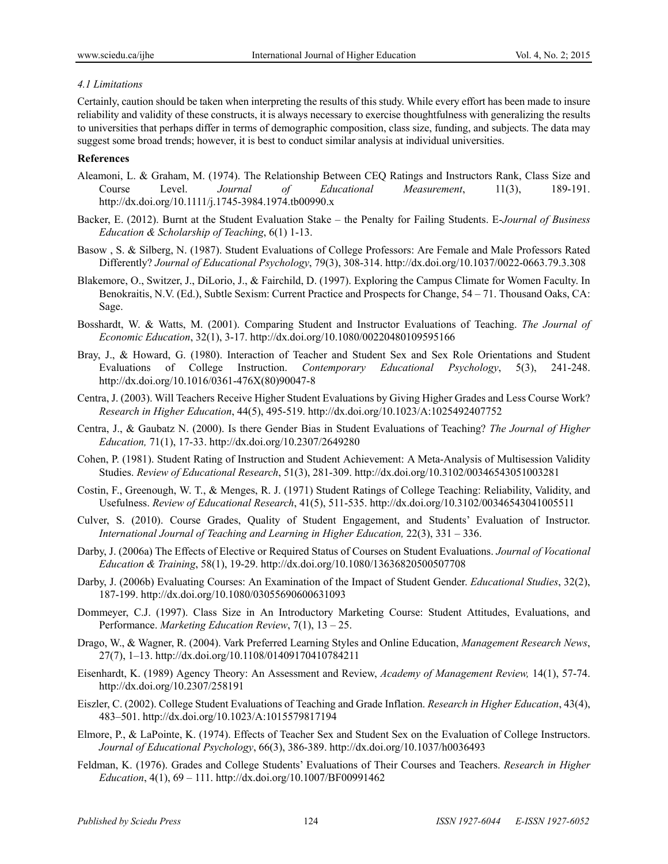## *4.1 Limitations*

Certainly, caution should be taken when interpreting the results of this study. While every effort has been made to insure reliability and validity of these constructs, it is always necessary to exercise thoughtfulness with generalizing the results to universities that perhaps differ in terms of demographic composition, class size, funding, and subjects. The data may suggest some broad trends; however, it is best to conduct similar analysis at individual universities.

## **References**

- Aleamoni, L. & Graham, M. (1974). The Relationship Between CEQ Ratings and Instructors Rank, Class Size and Course Level. *Journal of Educational Measurement*, 11(3), 189-191. http://dx.doi.org/10.1111/j.1745-3984.1974.tb00990.x
- Backer, E. (2012). Burnt at the Student Evaluation Stake the Penalty for Failing Students. E-*Journal of Business Education & Scholarship of Teaching*, 6(1) 1-13.
- Basow , S. & Silberg, N. (1987). Student Evaluations of College Professors: Are Female and Male Professors Rated Differently? *Journal of Educational Psychology*, 79(3), 308-314. http://dx.doi.org/10.1037/0022-0663.79.3.308
- Blakemore, O., Switzer, J., DiLorio, J., & Fairchild, D. (1997). Exploring the Campus Climate for Women Faculty. In Benokraitis, N.V. (Ed.), Subtle Sexism: Current Practice and Prospects for Change, 54 – 71. Thousand Oaks, CA: Sage.
- Bosshardt, W. & Watts, M. (2001). Comparing Student and Instructor Evaluations of Teaching. *The Journal of Economic Education*, 32(1), 3-17. http://dx.doi.org/10.1080/00220480109595166
- Bray, J., & Howard, G. (1980). Interaction of Teacher and Student Sex and Sex Role Orientations and Student Evaluations of College Instruction. *Contemporary Educational Psychology*, 5(3), 241-248. http://dx.doi.org/10.1016/0361-476X(80)90047-8
- Centra, J. (2003). Will Teachers Receive Higher Student Evaluations by Giving Higher Grades and Less Course Work? *Research in Higher Education*, 44(5), 495-519. http://dx.doi.org/10.1023/A:1025492407752
- Centra, J., & Gaubatz N. (2000). Is there Gender Bias in Student Evaluations of Teaching? *The Journal of Higher Education,* 71(1), 17-33. http://dx.doi.org/10.2307/2649280
- Cohen, P. (1981). Student Rating of Instruction and Student Achievement: A Meta-Analysis of Multisession Validity Studies. *Review of Educational Research*, 51(3), 281-309. http://dx.doi.org/10.3102/00346543051003281
- Costin, F., Greenough, W. T., & Menges, R. J. (1971) Student Ratings of College Teaching: Reliability, Validity, and Usefulness. *Review of Educational Research*, 41(5), 511-535. http://dx.doi.org/10.3102/00346543041005511
- Culver, S. (2010). Course Grades, Quality of Student Engagement, and Students' Evaluation of Instructor. *International Journal of Teaching and Learning in Higher Education,* 22(3), 331 – 336.
- Darby, J. (2006a) The Effects of Elective or Required Status of Courses on Student Evaluations. *Journal of Vocational Education & Training*, 58(1), 19-29. http://dx.doi.org/10.1080/13636820500507708
- Darby, J. (2006b) Evaluating Courses: An Examination of the Impact of Student Gender. *Educational Studies*, 32(2), 187-199. http://dx.doi.org/10.1080/03055690600631093
- Dommeyer, C.J. (1997). Class Size in An Introductory Marketing Course: Student Attitudes, Evaluations, and Performance. *Marketing Education Review*, 7(1), 13 – 25.
- Drago, W., & Wagner, R. (2004). Vark Preferred Learning Styles and Online Education, *Management Research News*, 27(7), 1–13. http://dx.doi.org/10.1108/01409170410784211
- Eisenhardt, K. (1989) Agency Theory: An Assessment and Review, *Academy of Management Review,* 14(1), 57-74. http://dx.doi.org/10.2307/258191
- Eiszler, C. (2002). College Student Evaluations of Teaching and Grade Inflation. *Research in Higher Education*, 43(4), 483–501. http://dx.doi.org/10.1023/A:1015579817194
- Elmore, P., & LaPointe, K. (1974). Effects of Teacher Sex and Student Sex on the Evaluation of College Instructors. *Journal of Educational Psychology*, 66(3), 386-389. http://dx.doi.org/10.1037/h0036493
- Feldman, K. (1976). Grades and College Students' Evaluations of Their Courses and Teachers. *Research in Higher Education*, 4(1), 69 – 111. http://dx.doi.org/10.1007/BF00991462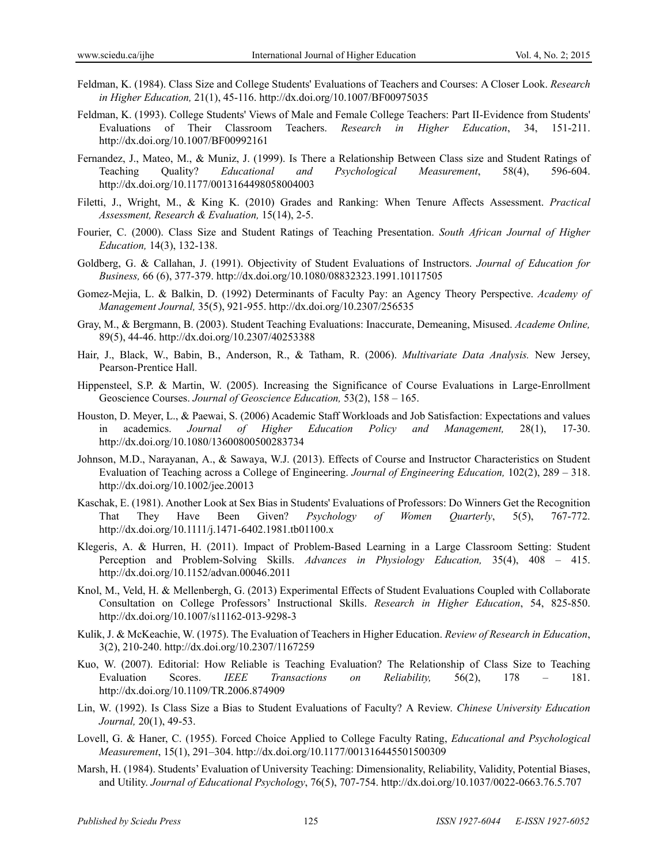- Feldman, K. (1984). Class Size and College Students' Evaluations of Teachers and Courses: A Closer Look. *Research in Higher Education,* 21(1), 45-116. http://dx.doi.org/10.1007/BF00975035
- Feldman, K. (1993). College Students' Views of Male and Female College Teachers: Part II-Evidence from Students' Evaluations of Their Classroom Teachers. *Research in Higher Education*, 34, 151-211. http://dx.doi.org/10.1007/BF00992161
- Fernandez, J., Mateo, M., & Muniz, J. (1999). Is There a Relationship Between Class size and Student Ratings of Teaching Quality? *Educational and Psychological Measurement*, 58(4), 596-604. http://dx.doi.org/10.1177/0013164498058004003
- Filetti, J., Wright, M., & King K. (2010) Grades and Ranking: When Tenure Affects Assessment. *Practical Assessment, Research & Evaluation,* 15(14), 2-5.
- Fourier, C. (2000). Class Size and Student Ratings of Teaching Presentation. *South African Journal of Higher Education,* 14(3), 132-138.
- Goldberg, G. & Callahan, J. (1991). Objectivity of Student Evaluations of Instructors. *Journal of Education for Business,* 66 (6), 377-379. http://dx.doi.org/10.1080/08832323.1991.10117505
- Gomez-Mejia, L. & Balkin, D. (1992) Determinants of Faculty Pay: an Agency Theory Perspective. *Academy of Management Journal,* 35(5), 921-955. http://dx.doi.org/10.2307/256535
- Gray, M., & Bergmann, B. (2003). Student Teaching Evaluations: Inaccurate, Demeaning, Misused. *Academe Online,*  89(5), 44-46. http://dx.doi.org/10.2307/40253388
- Hair, J., Black, W., Babin, B., Anderson, R., & Tatham, R. (2006). *Multivariate Data Analysis.* New Jersey, Pearson-Prentice Hall.
- Hippensteel, S.P. & Martin, W. (2005). Increasing the Significance of Course Evaluations in Large-Enrollment Geoscience Courses. *Journal of Geoscience Education,* 53(2), 158 – 165.
- Houston, D. Meyer, L., & Paewai, S. (2006) Academic Staff Workloads and Job Satisfaction: Expectations and values in academics. *Journal of Higher Education Policy and Management,* 28(1), 17-30. http://dx.doi.org/10.1080/13600800500283734
- Johnson, M.D., Narayanan, A., & Sawaya, W.J. (2013). Effects of Course and Instructor Characteristics on Student Evaluation of Teaching across a College of Engineering. *Journal of Engineering Education,* 102(2), 289 – 318. http://dx.doi.org/10.1002/jee.20013
- Kaschak, E. (1981). Another Look at Sex Bias in Students' Evaluations of Professors: Do Winners Get the Recognition That They Have Been Given? *Psychology of Women Quarterly*, 5(5), 767-772. http://dx.doi.org/10.1111/j.1471-6402.1981.tb01100.x
- Klegeris, A. & Hurren, H. (2011). Impact of Problem-Based Learning in a Large Classroom Setting: Student Perception and Problem-Solving Skills. *Advances in Physiology Education,* 35(4), 408 – 415. http://dx.doi.org/10.1152/advan.00046.2011
- Knol, M., Veld, H. & Mellenbergh, G. (2013) Experimental Effects of Student Evaluations Coupled with Collaborate Consultation on College Professors' Instructional Skills. *Research in Higher Education*, 54, 825-850. http://dx.doi.org/10.1007/s11162-013-9298-3
- Kulik, J. & McKeachie, W. (1975). The Evaluation of Teachers in Higher Education. *Review of Research in Education*, 3(2), 210-240. http://dx.doi.org/10.2307/1167259
- Kuo, W. (2007). Editorial: How Reliable is Teaching Evaluation? The Relationship of Class Size to Teaching Evaluation Scores. *IEEE Transactions on Reliability,* 56(2), 178 – 181. http://dx.doi.org/10.1109/TR.2006.874909
- Lin, W. (1992). Is Class Size a Bias to Student Evaluations of Faculty? A Review. *Chinese University Education Journal,* 20(1), 49-53.
- Lovell, G. & Haner, C. (1955). Forced Choice Applied to College Faculty Rating, *Educational and Psychological Measurement*, 15(1), 291–304. http://dx.doi.org/10.1177/001316445501500309
- Marsh, H. (1984). Students' Evaluation of University Teaching: Dimensionality, Reliability, Validity, Potential Biases, and Utility. *Journal of Educational Psychology*, 76(5), 707-754. http://dx.doi.org/10.1037/0022-0663.76.5.707